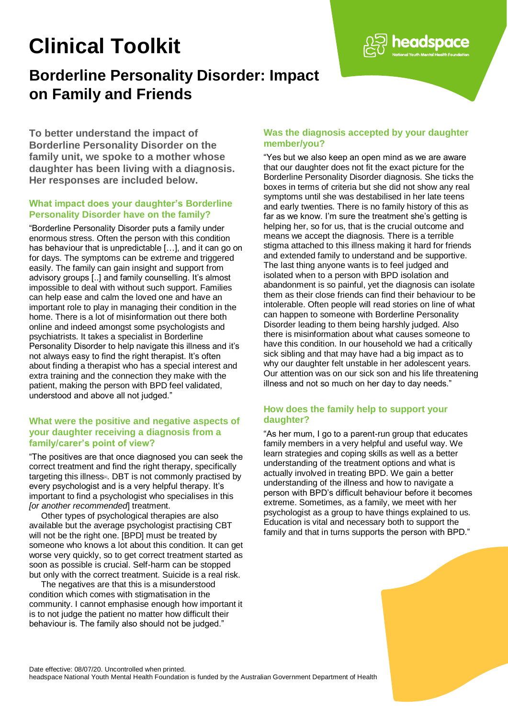# **Clinical Toolkit**

## **Borderline Personality Disorder: Impact on Family and Friends**

**To better understand the impact of Borderline Personality Disorder on the family unit, we spoke to a mother whose daughter has been living with a diagnosis. Her responses are included below.**

#### **What impact does your daughter's Borderline Personality Disorder have on the family?**

"Borderline Personality Disorder puts a family under enormous stress. Often the person with this condition has behaviour that is unpredictable […], and it can go on for days. The symptoms can be extreme and triggered easily. The family can gain insight and support from advisory groups [..] and family counselling. It's almost impossible to deal with without such support. Families can help ease and calm the loved one and have an important role to play in managing their condition in the home. There is a lot of misinformation out there both online and indeed amongst some psychologists and psychiatrists. It takes a specialist in Borderline Personality Disorder to help navigate this illness and it's not always easy to find the right therapist. It's often about finding a therapist who has a special interest and extra training and the connection they make with the patient, making the person with BPD feel validated, understood and above all not judged."

#### **What were the positive and negative aspects of your daughter receiving a diagnosis from a family/carer's point of view?**

"The positives are that once diagnosed you can seek the correct treatment and find the right therapy, specifically targeting this illness $n$ . DBT is not commonly practised by every psychologist and is a very helpful therapy. It's important to find a psychologist who specialises in this *[or another recommended*] treatment.

Other types of psychological therapies are also available but the average psychologist practising CBT will not be the right one. [BPD] must be treated by someone who knows a lot about this condition. It can get worse very quickly, so to get correct treatment started as soon as possible is crucial. Self-harm can be stopped but only with the correct treatment. Suicide is a real risk.

The negatives are that this is a misunderstood condition which comes with stigmatisation in the community. I cannot emphasise enough how important it is to not judge the patient no matter how difficult their behaviour is. The family also should not be judged."

#### **Was the diagnosis accepted by your daughter member/you?**

headspace

"Yes but we also keep an open mind as we are aware that our daughter does not fit the exact picture for the Borderline Personality Disorder diagnosis. She ticks the boxes in terms of criteria but she did not show any real symptoms until she was destabilised in her late teens and early twenties. There is no family history of this as far as we know. I'm sure the treatment she's getting is helping her, so for us, that is the crucial outcome and means we accept the diagnosis. There is a terrible stigma attached to this illness making it hard for friends and extended family to understand and be supportive. The last thing anyone wants is to feel judged and isolated when to a person with BPD isolation and abandonment is so painful, yet the diagnosis can isolate them as their close friends can find their behaviour to be intolerable. Often people will read stories on line of what can happen to someone with Borderline Personality Disorder leading to them being harshly judged. Also there is misinformation about what causes someone to have this condition. In our household we had a critically sick sibling and that may have had a big impact as to why our daughter felt unstable in her adolescent years. Our attention was on our sick son and his life threatening illness and not so much on her day to day needs."

### **How does the family help to support your daughter?**

"As her mum, I go to a parent-run group that educates family members in a very helpful and useful way. We learn strategies and coping skills as well as a better understanding of the treatment options and what is actually involved in treating BPD. We gain a better understanding of the illness and how to navigate a person with BPD's difficult behaviour before it becomes extreme. Sometimes, as a family, we meet with her psychologist as a group to have things explained to us. Education is vital and necessary both to support the family and that in turns supports the person with BPD."